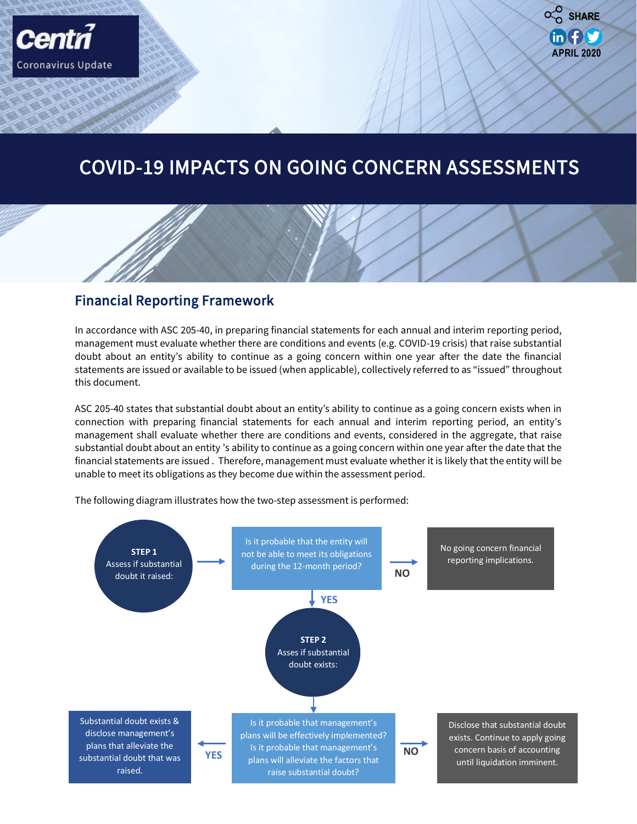

**APRIL 2020**

 $in **f**$ 

 $\alpha$ <sub>O</sub> SHARE

### Financial Reporting Framework

In accordance with ASC 205-40, in preparing financial statements for each annual and interim reporting period, management must evaluate whether there are conditions and events (e.g. COVID-19 crisis) that raise substantial doubt about an entity's ability to continue as a going concern within one year after the date the financial statements are issued or available to be issued (when applicable), collectively referred to as "issued" throughout this document.

Accounting, Reporting and Other Related Co

ASC 205-40 states that substantial doubt about an entity's ability to continue as a going concern exists when in connection with preparing financial statements for each annual and interim reporting period, an entity's management shall evaluate whether there are conditions and events, considered in the aggregate, that raise substantial doubt about an entity 's ability to continue as a going concern within one year after the date that the financial statements are issued . Therefore, management must evaluate whether it is likely that the entity will be unable to meet its obligations as they become due within the assessment period.



The following diagram illustrates how the two-step assessment is performed:

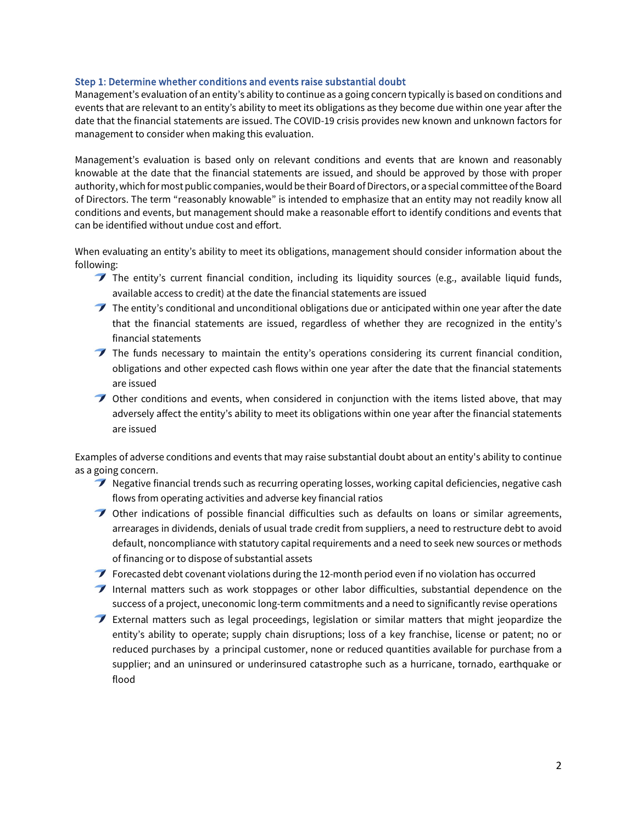#### Step 1: Determine whether conditions and events raise substantial doubt

Management's evaluation of an entity's ability to continue as a going concern typically is based on conditions and events that are relevant to an entity's ability to meet its obligations as they become due within one year after the date that the financial statements are issued. The COVID-19 crisis provides new known and unknown factors for management to consider when making this evaluation.

Management's evaluation is based only on relevant conditions and events that are known and reasonably knowable at the date that the financial statements are issued, and should be approved by those with proper authority, which for most public companies, would be their Board of Directors, or a special committee of the Board of Directors. The term "reasonably knowable" is intended to emphasize that an entity may not readily know all conditions and events, but management should make a reasonable effort to identify conditions and events that can be identified without undue cost and effort.

When evaluating an entity's ability to meet its obligations, management should consider information about the following:

- $\blacktriangledown$  The entity's current financial condition, including its liquidity sources (e.g., available liquid funds, available access to credit) at the date the financial statements are issued
- $\blacktriangledown$  The entity's conditional and unconditional obligations due or anticipated within one year after the date that the financial statements are issued, regardless of whether they are recognized in the entity's financial statements
- The funds necessary to maintain the entity's operations considering its current financial condition, obligations and other expected cash flows within one year after the date that the financial statements are issued
- $\rightarrow$  Other conditions and events, when considered in conjunction with the items listed above, that may adversely affect the entity's ability to meet its obligations within one year after the financial statements are issued

Examples of adverse conditions and events that may raise substantial doubt about an entity's ability to continue as a going concern.

- $\rightarrow$  Negative financial trends such as recurring operating losses, working capital deficiencies, negative cash flows from operating activities and adverse key financial ratios
- Other indications of possible financial difficulties such as defaults on loans or similar agreements, arrearages in dividends, denials of usual trade credit from suppliers, a need to restructure debt to avoid default, noncompliance with statutory capital requirements and a need to seek new sources or methods of financing or to dispose of substantial assets
- Forecasted debt covenant violations during the 12-month period even if no violation has occurred
- Internal matters such as work stoppages or other labor difficulties, substantial dependence on the success of a project, uneconomic long-term commitments and a need to significantly revise operations
- $\rightarrow$  External matters such as legal proceedings, legislation or similar matters that might jeopardize the entity's ability to operate; supply chain disruptions; loss of a key franchise, license or patent; no or reduced purchases by a principal customer, none or reduced quantities available for purchase from a supplier; and an uninsured or underinsured catastrophe such as a hurricane, tornado, earthquake or flood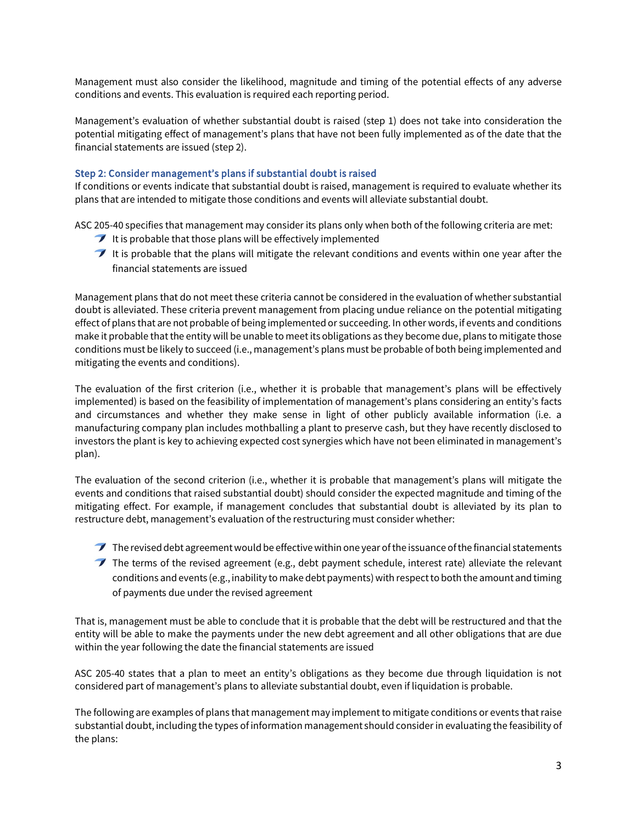Management must also consider the likelihood, magnitude and timing of the potential effects of any adverse conditions and events. This evaluation is required each reporting period.

Management's evaluation of whether substantial doubt is raised (step 1) does not take into consideration the potential mitigating effect of management's plans that have not been fully implemented as of the date that the financial statements are issued (step 2).

#### Step 2: Consider management's plans if substantial doubt is raised

If conditions or events indicate that substantial doubt is raised, management is required to evaluate whether its plans that are intended to mitigate those conditions and events will alleviate substantial doubt.

ASC 205-40 specifies that management may consider its plans only when both of the following criteria are met:

- $\rightarrow$  It is probable that those plans will be effectively implemented
- $\blacktriangleright$  It is probable that the plans will mitigate the relevant conditions and events within one year after the financial statements are issued

Management plans that do not meet these criteria cannot be considered in the evaluation of whether substantial doubt is alleviated. These criteria prevent management from placing undue reliance on the potential mitigating effect of plans that are not probable of being implemented or succeeding. In other words, if events and conditions make it probable that the entity will be unable to meet its obligations as they become due, plans to mitigate those conditions must be likely to succeed (i.e., management's plans must be probable of both being implemented and mitigating the events and conditions).

The evaluation of the first criterion (i.e., whether it is probable that management's plans will be effectively implemented) is based on the feasibility of implementation of management's plans considering an entity's facts and circumstances and whether they make sense in light of other publicly available information (i.e. a manufacturing company plan includes mothballing a plant to preserve cash, but they have recently disclosed to investors the plant is key to achieving expected cost synergies which have not been eliminated in management's plan).

The evaluation of the second criterion (i.e., whether it is probable that management's plans will mitigate the events and conditions that raised substantial doubt) should consider the expected magnitude and timing of the mitigating effect. For example, if management concludes that substantial doubt is alleviated by its plan to restructure debt, management's evaluation of the restructuring must consider whether:

- T The revised debt agreement would be effective within one year of the issuance of the financial statements
- The terms of the revised agreement (e.g., debt payment schedule, interest rate) alleviate the relevant conditions and events (e.g., inability to make debt payments) with respect to both the amount and timing of payments due under the revised agreement

That is, management must be able to conclude that it is probable that the debt will be restructured and that the entity will be able to make the payments under the new debt agreement and all other obligations that are due within the year following the date the financial statements are issued

ASC 205-40 states that a plan to meet an entity's obligations as they become due through liquidation is not considered part of management's plans to alleviate substantial doubt, even if liquidation is probable.

The following are examples of plans that management may implement to mitigate conditions or events that raise substantial doubt, including the types of information management should consider in evaluating the feasibility of the plans: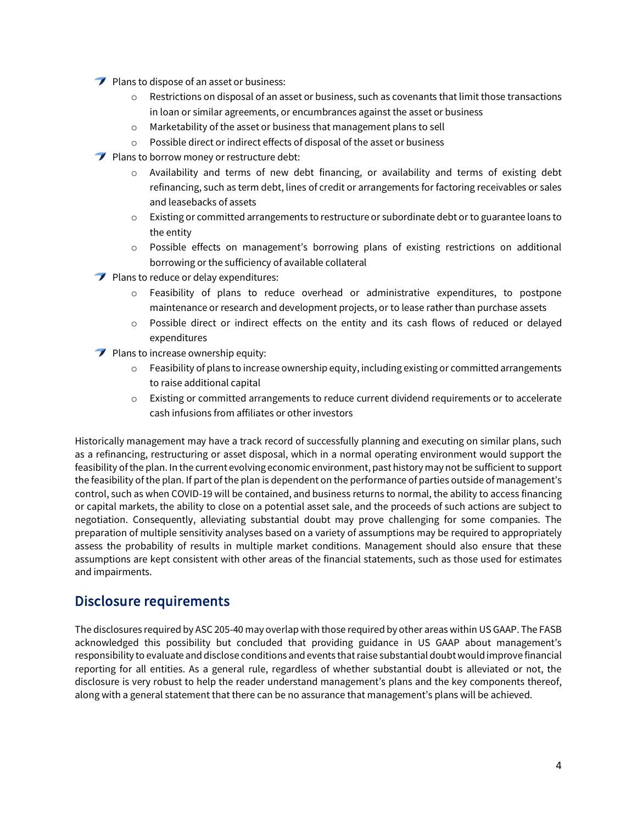- $\blacktriangleright$  Plans to dispose of an asset or business:
	- o Restrictions on disposal of an asset or business, such as covenants that limit those transactions in loan or similar agreements, or encumbrances against the asset or business
	- o Marketability of the asset or business that management plans to sell
	- o Possible direct or indirect effects of disposal of the asset or business
- $\blacktriangleright$  Plans to borrow money or restructure debt:
	- o Availability and terms of new debt financing, or availability and terms of existing debt refinancing, such as term debt, lines of credit or arrangements for factoring receivables or sales and leasebacks of assets
	- o Existing or committed arrangements to restructure or subordinate debt or to guarantee loans to the entity
	- o Possible effects on management's borrowing plans of existing restrictions on additional borrowing or the sufficiency of available collateral
- Plans to reduce or delay expenditures:
	- o Feasibility of plans to reduce overhead or administrative expenditures, to postpone maintenance or research and development projects, or to lease rather than purchase assets
	- $\circ$  Possible direct or indirect effects on the entity and its cash flows of reduced or delayed expenditures
- $\blacktriangleright$  Plans to increase ownership equity:
	- $\circ$  Feasibility of plans to increase ownership equity, including existing or committed arrangements to raise additional capital
	- $\circ$  Existing or committed arrangements to reduce current dividend requirements or to accelerate cash infusions from affiliates or other investors

Historically management may have a track record of successfully planning and executing on similar plans, such as a refinancing, restructuring or asset disposal, which in a normal operating environment would support the feasibility of the plan. In the current evolving economic environment, past history may not be sufficient to support the feasibility of the plan. If part of the plan is dependent on the performance of parties outside of management's control, such as when COVID-19 will be contained, and business returns to normal, the ability to access financing or capital markets, the ability to close on a potential asset sale, and the proceeds of such actions are subject to negotiation. Consequently, alleviating substantial doubt may prove challenging for some companies. The preparation of multiple sensitivity analyses based on a variety of assumptions may be required to appropriately assess the probability of results in multiple market conditions. Management should also ensure that these assumptions are kept consistent with other areas of the financial statements, such as those used for estimates and impairments.

## Disclosure requirements

The disclosures required by ASC 205-40 may overlap with those required by other areas within US GAAP. The FASB acknowledged this possibility but concluded that providing guidance in US GAAP about management's responsibility to evaluate and disclose conditions and events that raise substantial doubt would improve financial reporting for all entities. As a general rule, regardless of whether substantial doubt is alleviated or not, the disclosure is very robust to help the reader understand management's plans and the key components thereof, along with a general statement that there can be no assurance that management's plans will be achieved.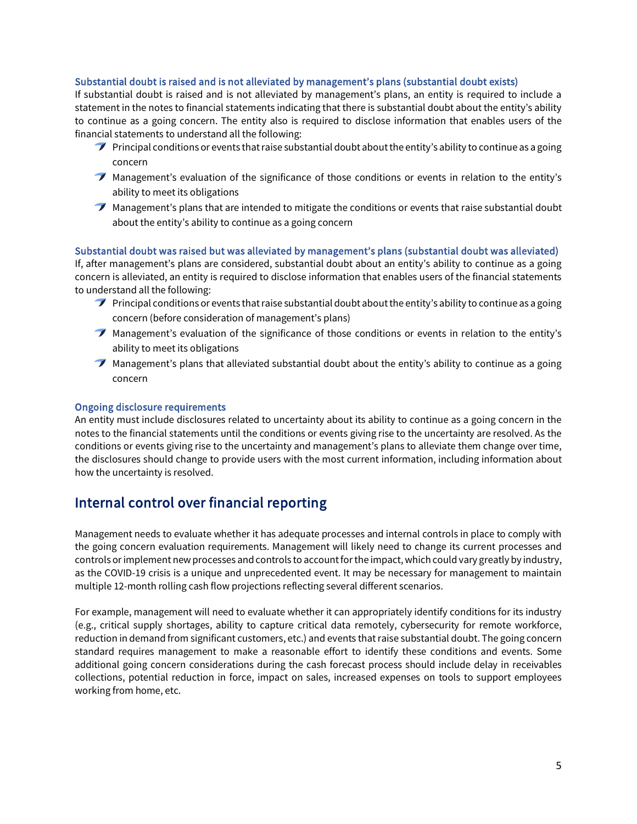### Substantial doubt is raised and is not alleviated by management's plans (substantial doubt exists)

If substantial doubt is raised and is not alleviated by management's plans, an entity is required to include a statement in the notes to financial statements indicating that there is substantial doubt about the entity's ability to continue as a going concern. The entity also is required to disclose information that enables users of the financial statements to understand all the following:

- **Principal conditions or events that raise substantial doubt about the entity's ability to continue as a going** concern
- Management's evaluation of the significance of those conditions or events in relation to the entity's ability to meet its obligations
- $\blacktriangledown$  Management's plans that are intended to mitigate the conditions or events that raise substantial doubt about the entity's ability to continue as a going concern

### Substantial doubt was raised but was alleviated by management's plans (substantial doubt was alleviated)

If, after management's plans are considered, substantial doubt about an entity's ability to continue as a going concern is alleviated, an entity is required to disclose information that enables users of the financial statements to understand all the following:

- **Principal conditions or events that raise substantial doubt about the entity's ability to continue as a going** concern (before consideration of management's plans)
- Management's evaluation of the significance of those conditions or events in relation to the entity's ability to meet its obligations
- $\blacktriangledown$  Management's plans that alleviated substantial doubt about the entity's ability to continue as a going concern

### Ongoing disclosure requirements

An entity must include disclosures related to uncertainty about its ability to continue as a going concern in the notes to the financial statements until the conditions or events giving rise to the uncertainty are resolved. As the conditions or events giving rise to the uncertainty and management's plans to alleviate them change over time, the disclosures should change to provide users with the most current information, including information about how the uncertainty is resolved.

# Internal control over financial reporting

Management needs to evaluate whether it has adequate processes and internal controls in place to comply with the going concern evaluation requirements. Management will likely need to change its current processes and controls or implement new processes and controls to account for the impact, which could vary greatly by industry, as the COVID-19 crisis is a unique and unprecedented event. It may be necessary for management to maintain multiple 12-month rolling cash flow projections reflecting several different scenarios.

For example, management will need to evaluate whether it can appropriately identify conditions for its industry (e.g., critical supply shortages, ability to capture critical data remotely, cybersecurity for remote workforce, reduction in demand from significant customers, etc.) and events that raise substantial doubt. The going concern standard requires management to make a reasonable effort to identify these conditions and events. Some additional going concern considerations during the cash forecast process should include delay in receivables collections, potential reduction in force, impact on sales, increased expenses on tools to support employees working from home, etc.